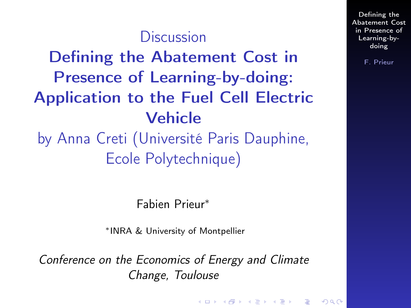### **Discussion**

<span id="page-0-0"></span>Defining the Abatement Cost in Presence of Learning-by-doing: Application to the Fuel Cell Electric Vehicle

by Anna Creti (Université Paris Dauphine, Ecole Polytechnique)

Fabien Prieur<sup>∗</sup>

<sup>∗</sup>INRA & University of Montpellier

Conference on the Economics of Energy and Climate Change, Toulouse

Defining the [Abatement Cost](#page-5-0) in Presence of Learning-bydoing

F. Prieur

K □ X K ④ X K W B X X B X B X O Q Q Q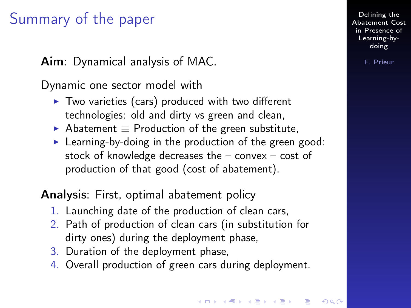### Summary of the paper

Aim: Dynamical analysis of MAC.

Dynamic one sector model with

- $\triangleright$  Two varieties (cars) produced with two different technologies: old and dirty vs green and clean,
- Abatement  $\equiv$  Production of the green substitute,
- $\blacktriangleright$  Learning-by-doing in the production of the green good: stock of knowledge decreases the – convex – cost of production of that good (cost of abatement).

Analysis: First, optimal abatement policy

- 1. Launching date of the production of clean cars,
- 2. Path of production of clean cars (in substitution for dirty ones) during the deployment phase,
- 3. Duration of the deployment phase,
- 4. Overall production of green cars during deployment.

Defining the [Abatement Cost](#page-0-0) in Presence of Learning-bydoing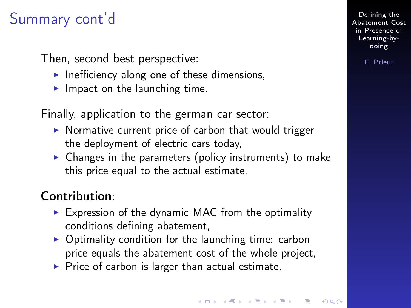# Summary cont'd

Then, second best perspective:

- $\blacktriangleright$  Inefficiency along one of these dimensions,
- Impact on the launching time.

Finally, application to the german car sector:

- $\triangleright$  Normative current price of carbon that would trigger the deployment of electric cars today,
- $\triangleright$  Changes in the parameters (policy instruments) to make this price equal to the actual estimate.

#### Contribution:

- $\triangleright$  Expression of the dynamic MAC from the optimality conditions defining abatement,
- $\triangleright$  Optimality condition for the launching time: carbon price equals the abatement cost of the whole project,
- $\blacktriangleright$  Price of carbon is larger than actual estimate.

Defining the [Abatement Cost](#page-0-0) in Presence of Learning-bydoing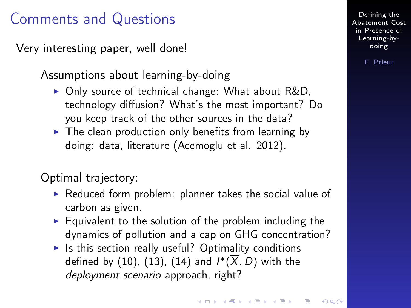### Comments and Questions

Very interesting paper, well done!

Assumptions about learning-by-doing

- $\triangleright$  Only source of technical change: What about R&D, technology diffusion? What's the most important? Do you keep track of the other sources in the data?
- $\triangleright$  The clean production only benefits from learning by doing: data, literature (Acemoglu et al. 2012).

Optimal trajectory:

- $\triangleright$  Reduced form problem: planner takes the social value of carbon as given.
- $\blacktriangleright$  Equivalent to the solution of the problem including the dynamics of pollution and a cap on GHG concentration?
- $\blacktriangleright$  Is this section really useful? Optimality conditions defined by (10), (13), (14) and  $I^*(\overline{X},D)$  with the deployment scenario approach, right?

Defining the [Abatement Cost](#page-0-0) in Presence of Learning-bydoing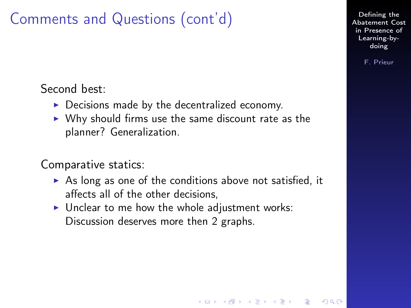## Comments and Questions (cont'd)

Second best:

- $\triangleright$  Decisions made by the decentralized economy.
- $\triangleright$  Why should firms use the same discount rate as the planner? Generalization.

Comparative statics:

 $\triangleright$  As long as one of the conditions above not satisfied, it affects all of the other decisions,

**A O A G A 4 O A C A G A G A 4 O A C** 

 $\blacktriangleright$  Unclear to me how the whole adjustment works: Discussion deserves more then 2 graphs.

Defining the [Abatement Cost](#page-0-0) in Presence of Learning-bydoing